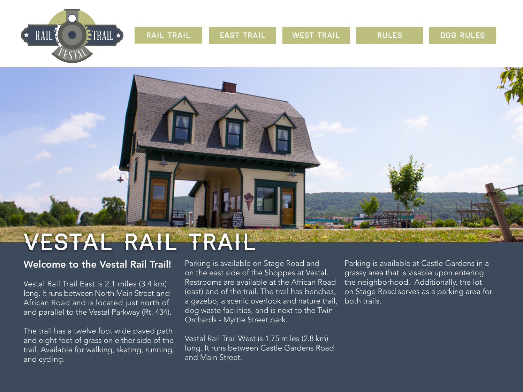





### Vestal Rail trail

#### Welcome to the Vestal Rail Trail!

Vestal Rail Trail East is 2.1 miles (3.4 km) long. It runs between North Main Street and African Road and is located just north of and parallel to the Vestal Parkway (Rt. 434).

The trail has a twelve foot wide paved path and eight feet of grass on either side of the trail. Available for walking, skating, running, and cycling.

Parking is available on Stage Road and on the east side of the Shoppes at Vestal. Restrooms are available at the African Road (east) end of the trail. The trail has benches, a gazebo, a scenic overlook and nature trail, dog waste facilities, and is next to the Twin Orchards - Myrtle Street park.

Vestal Rail Trail West is 1.75 miles (2.8 km) long. It runs between Castle Gardens Road and Main Street.

Parking is available at Castle Gardens in a grassy area that is visable upon entering the neighborhood. Additionally, the lot on Stage Road serves as a parking area for both trails.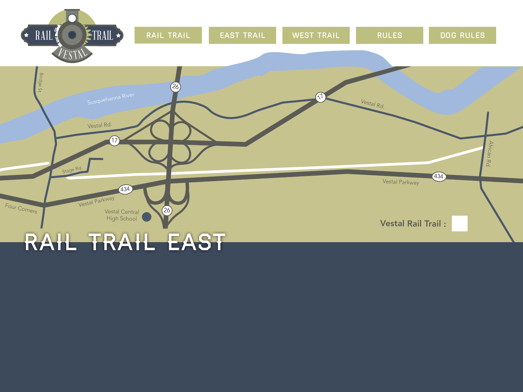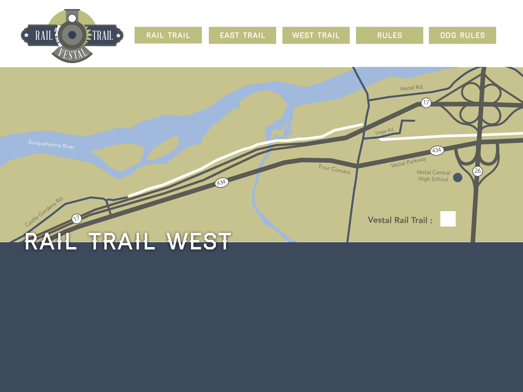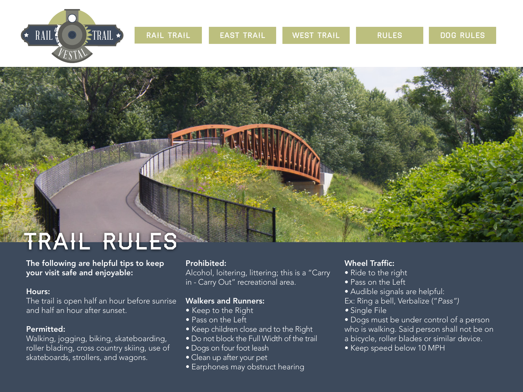

# Trail rules

The following are helpful tips to keep your visit safe and enjoyable:

#### Hours:

The trail is open half an hour before sunrise and half an hour after sunset.

#### Permitted:

Walking, jogging, biking, skateboarding, roller blading, cross country skiing, use of skateboards, strollers, and wagons.

#### Prohibited:

Alcohol, loitering, littering; this is a "Carry in - Carry Out" recreational area.

#### Walkers and Runners:

- Keep to the Right
- Pass on the Left
- Keep children close and to the Right
- Do not block the Full Width of the trail
- Dogs on four foot leash
- Clean up after your pet
- Earphones may obstruct hearing

#### Wheel Traffic:

- Ride to the right
- Pass on the Left
- Audible signals are helpful:
- Ex: Ring a bell, Verbalize ("*Pass")*
- Single File
- Dogs must be under control of a person who is walking. Said person shall not be on a bicycle, roller blades or similar device.
- Keep speed below 10 MPH